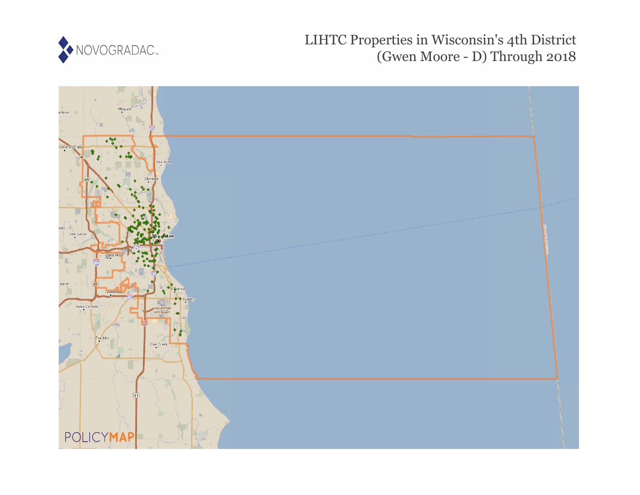

# LIHTC Properties in Wisconsin's 4th District (Gwen Moore - D) Through 2018

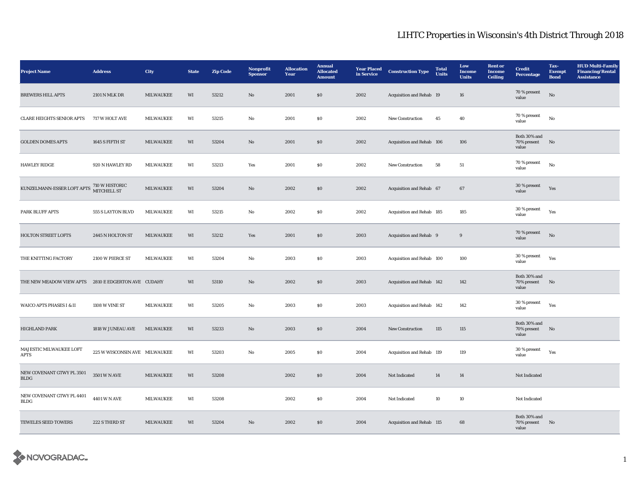| <b>Project Name</b>                                 | <b>Address</b>                | <b>City</b>      | <b>State</b> | <b>Zip Code</b> | Nonprofit<br><b>Sponsor</b> | <b>Allocation</b><br>Year | <b>Annual</b><br><b>Allocated</b><br><b>Amount</b> | <b>Year Placed</b><br>in Service | <b>Construction Type</b>  | <b>Total</b><br><b>Units</b> | Low<br><b>Income</b><br><b>Units</b> | <b>Rent</b> or<br><b>Income</b><br><b>Ceiling</b> | <b>Credit</b><br><b>Percentage</b>   | Tax-<br><b>Exempt</b><br><b>Bond</b> | <b>HUD Multi-Family</b><br><b>Financing/Rental</b><br><b>Assistance</b> |
|-----------------------------------------------------|-------------------------------|------------------|--------------|-----------------|-----------------------------|---------------------------|----------------------------------------------------|----------------------------------|---------------------------|------------------------------|--------------------------------------|---------------------------------------------------|--------------------------------------|--------------------------------------|-------------------------------------------------------------------------|
| <b>BREWERS HILL APTS</b>                            | 2101 N MLK DR                 | <b>MILWAUKEE</b> | WI           | 53212           | No                          | 2001                      | $\$0$                                              | 2002                             | Acquisition and Rehab 19  |                              | ${\bf 16}$                           |                                                   | $70\,\%$ present<br>value            | $\mathbf{N}\mathbf{o}$               |                                                                         |
| <b>CLARE HEIGHTS SENIOR APTS</b>                    | 717 W HOLT AVE                | MILWAUKEE        | WI           | 53215           | No                          | 2001                      | S <sub>0</sub>                                     | 2002                             | <b>New Construction</b>   | 45                           | 40                                   |                                                   | 70 % present<br>value                | $\mathbf{No}$                        |                                                                         |
| <b>GOLDEN DOMES APTS</b>                            | 1645 S FIFTH ST               | MILWAUKEE        | WI           | 53204           | No                          | 2001                      | \$0                                                | 2002                             | Acquisition and Rehab 106 |                              | 106                                  |                                                   | Both 30% and<br>70% present<br>value | No                                   |                                                                         |
| <b>HAWLEY RIDGE</b>                                 | 920 N HAWLEY RD               | MILWAUKEE        | WI           | 53213           | Yes                         | 2001                      | S <sub>0</sub>                                     | 2002                             | New Construction          | 58                           | 51                                   |                                                   | 70 % present<br>value                | $\mathbf{No}$                        |                                                                         |
| KUNZELMANN-ESSER LOFT APTS                          | 710 W HISTORIC<br>MITCHELL ST | MILWAUKEE        | WI           | 53204           | No                          | 2002                      | \$0\$                                              | 2002                             | Acquisition and Rehab 67  |                              | 67                                   |                                                   | 30 % present<br>value                | Yes                                  |                                                                         |
| PARK BLUFF APTS                                     | 555 S LAYTON BLVD             | MILWAUKEE        | WI           | 53215           | No                          | 2002                      | <b>SO</b>                                          | 2002                             | Acquisition and Rehab 185 |                              | 185                                  |                                                   | 30 % present<br>value                | Yes                                  |                                                                         |
| HOLTON STREET LOFTS                                 | 2445 N HOLTON ST              | <b>MILWAUKEE</b> | WI           | 53212           | Yes                         | 2001                      | $\$0$                                              | 2003                             | Acquisition and Rehab 9   |                              | $9\,$                                |                                                   | 70 % present<br>value                | No                                   |                                                                         |
| THE KNITTING FACTORY                                | 2100 W PIERCE ST              | MILWAUKEE        | WI           | 53204           | No                          | 2003                      | $\$0$                                              | 2003                             | Acquisition and Rehab 100 |                              | 100                                  |                                                   | 30 % present<br>value                | Yes                                  |                                                                         |
| THE NEW MEADOW VIEW APTS 2810 E EDGERTON AVE CUDAHY |                               |                  | WI           | 53110           | $\mathbf{N}\mathbf{o}$      | 2002                      | \$0\$                                              | 2003                             | Acquisition and Rehab 142 |                              | 142                                  |                                                   | Both 30% and<br>70% present<br>value | No                                   |                                                                         |
| <b>WAICO APTS PHASES I &amp; II</b>                 | 1108 W VINE ST                | MILWAUKEE        | WI           | 53205           | No                          | 2003                      | \$0\$                                              | 2003                             | Acquisition and Rehab 142 |                              | 142                                  |                                                   | 30 % present<br>value                | Yes                                  |                                                                         |
| <b>HIGHLAND PARK</b>                                | 1818 W JUNEAU AVE             | MILWAUKEE        | WI           | 53233           | No                          | 2003                      | \$0\$                                              | 2004                             | New Construction          | 115                          | 115                                  |                                                   | Both 30% and<br>70% present<br>value | No                                   |                                                                         |
| MAJESTIC MILWAUKEE LOFT<br><b>APTS</b>              | 225 W WISCONSIN AVE MILWAUKEE |                  | WI           | 53203           | No                          | 2005                      | \$0                                                | 2004                             | Acquisition and Rehab 119 |                              | 119                                  |                                                   | 30 % present<br>value                | Yes                                  |                                                                         |
| NEW COVENANT GTWY PL 3501<br>BLDG                   | 3501 W N AVE                  | MILWAUKEE        | WI           | 53208           |                             | 2002                      | \$0                                                | 2004                             | Not Indicated             | 14                           | 14                                   |                                                   | Not Indicated                        |                                      |                                                                         |
| NEW COVENANT GTWY PL 4401<br><b>BLDG</b>            | 4401 W N AVE                  | <b>MILWAUKEE</b> | WI           | 53208           |                             | 2002                      | \$0                                                | 2004                             | Not Indicated             | 10                           | 10                                   |                                                   | Not Indicated                        |                                      |                                                                         |
| TEWELES SEED TOWERS                                 | 222 S THIRD ST                | <b>MILWAUKEE</b> | WI           | 53204           | No                          | 2002                      | \$0\$                                              | 2004                             | Acquisition and Rehab 115 |                              | 68                                   |                                                   | Both 30% and<br>70% present<br>value | No                                   |                                                                         |

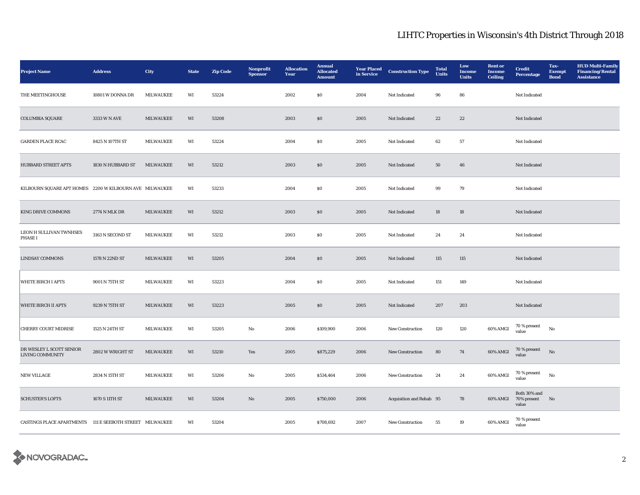| <b>Project Name</b>                                             | <b>Address</b>    | City             | <b>State</b> | <b>Zip Code</b> | Nonprofit<br><b>Sponsor</b> | <b>Allocation</b><br>Year | <b>Annual</b><br><b>Allocated</b><br><b>Amount</b> | <b>Year Placed</b><br>in Service | <b>Construction Type</b> | <b>Total</b><br><b>Units</b> | Low<br>Income<br><b>Units</b> | <b>Rent</b> or<br><b>Income</b><br><b>Ceiling</b> | <b>Credit</b><br>Percentage             | Tax-<br><b>Exempt</b><br><b>Bond</b> | <b>HUD Multi-Family</b><br><b>Financing/Rental</b><br><b>Assistance</b> |
|-----------------------------------------------------------------|-------------------|------------------|--------------|-----------------|-----------------------------|---------------------------|----------------------------------------------------|----------------------------------|--------------------------|------------------------------|-------------------------------|---------------------------------------------------|-----------------------------------------|--------------------------------------|-------------------------------------------------------------------------|
| THE MEETINGHOUSE                                                | 10801 W DONNA DR  | <b>MILWAUKEE</b> | WI           | 53224           |                             | 2002                      | S <sub>0</sub>                                     | 2004                             | Not Indicated            | 96                           | 86                            |                                                   | Not Indicated                           |                                      |                                                                         |
| <b>COLUMBIA SQUARE</b>                                          | 3333 W N AVE      | MILWAUKEE        | WI           | 53208           |                             | 2003                      | \$0                                                | 2005                             | Not Indicated            | 22                           | 22                            |                                                   | Not Indicated                           |                                      |                                                                         |
| <b>GARDEN PLACE RCAC</b>                                        | 8425 N 107TH ST   | <b>MILWAUKEE</b> | WI           | 53224           |                             | 2004                      | ${\bf S0}$                                         | 2005                             | Not Indicated            | 62                           | 57                            |                                                   | Not Indicated                           |                                      |                                                                         |
| <b>HUBBARD STREET APTS</b>                                      | 1830 N HUBBARD ST | <b>MILWAUKEE</b> | WI           | 53212           |                             | 2003                      | $\$0$                                              | 2005                             | Not Indicated            | 50                           | 46                            |                                                   | Not Indicated                           |                                      |                                                                         |
| KILBOURN SQUARE APT HOMES 2200 W KILBOURN AVE MILWAUKEE         |                   |                  | WI           | 53233           |                             | 2004                      | S <sub>0</sub>                                     | 2005                             | Not Indicated            | 99                           | 79                            |                                                   | Not Indicated                           |                                      |                                                                         |
| KING DRIVE COMMONS                                              | 2774 N MLK DR     | MILWAUKEE        | WI           | 53212           |                             | 2003                      | $\$0$                                              | 2005                             | Not Indicated            | 18                           | 18                            |                                                   | Not Indicated                           |                                      |                                                                         |
| LEON H SULLIVAN TWNHSES<br>PHASE I                              | 3163 N SECOND ST  | MILWAUKEE        | WI           | 53212           |                             | 2003                      | SO.                                                | 2005                             | Not Indicated            | 24                           | 24                            |                                                   | Not Indicated                           |                                      |                                                                         |
| <b>LINDSAY COMMONS</b>                                          | 1578 N 22ND ST    | MILWAUKEE        | WI           | 53205           |                             | 2004                      | $\$0$                                              | 2005                             | Not Indicated            | 115                          | 115                           |                                                   | Not Indicated                           |                                      |                                                                         |
| <b>WHITE BIRCH I APTS</b>                                       | 9001 N 75TH ST    | MILWAUKEE        | WI           | 53223           |                             | 2004                      | ${\bf S0}$                                         | 2005                             | Not Indicated            | 151                          | 149                           |                                                   | Not Indicated                           |                                      |                                                                         |
| <b>WHITE BIRCH II APTS</b>                                      | 9239 N 75TH ST    | MILWAUKEE        | WI           | 53223           |                             | 2005                      | \$0\$                                              | 2005                             | Not Indicated            | 207                          | 203                           |                                                   | Not Indicated                           |                                      |                                                                         |
| CHERRY COURT MIDRISE                                            | 1525 N 24TH ST    | MILWAUKEE        | WI           | 53205           | No                          | 2006                      | \$109,900                                          | 2006                             | <b>New Construction</b>  | 120                          | 120                           | 60% AMGI                                          | 70 % present<br>value                   | No                                   |                                                                         |
| DR WESLEY L SCOTT SENIOR<br>LIVING COMMUNITY                    | 2802 W WRIGHT ST  | MILWAUKEE        | WI           | 53210           | Yes                         | 2005                      | \$875,229                                          | 2006                             | New Construction         | 80                           | 74                            | 60% AMGI                                          | 70 % present<br>value                   | $_{\rm No}$                          |                                                                         |
| NEW VILLAGE                                                     | 2834 N 15TH ST    | MILWAUKEE        | WI           | 53206           | No                          | 2005                      | \$534,464                                          | 2006                             | New Construction         | 24                           | 24                            | 60% AMGI                                          | 70 % present<br>value                   | No                                   |                                                                         |
| <b>SCHUSTER'S LOFTS</b>                                         | 1670 S 11TH ST    | MILWAUKEE        | WI           | 53204           | No                          | 2005                      | \$750,000                                          | 2006                             | Acquisition and Rehab 95 |                              | 78                            | 60% AMGI                                          | Both 30% and<br>70% present No<br>value |                                      |                                                                         |
| <b>CASTINGS PLACE APARTMENTS 111 E SEEBOTH STREET MILWAUKEE</b> |                   |                  | WI           | 53204           |                             | 2005                      | \$708,692                                          | 2007                             | <b>New Construction</b>  | 55                           | 19                            | 60% AMGI                                          | 70 % present<br>value                   |                                      |                                                                         |

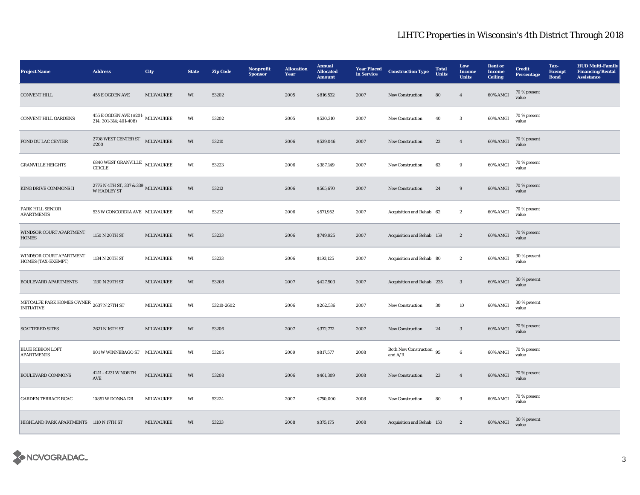| <b>Project Name</b>                                           | <b>Address</b>                                                          | City      | <b>State</b> | <b>Zip Code</b> | Nonprofit<br><b>Sponsor</b> | <b>Allocation</b><br>Year | <b>Annual</b><br><b>Allocated</b><br><b>Amount</b> | <b>Year Placed</b><br>in Service | <b>Construction Type</b>                   | <b>Total</b><br><b>Units</b> | Low<br>Income<br><b>Units</b> | <b>Rent or</b><br>Income<br><b>Ceiling</b> | <b>Credit</b><br><b>Percentage</b> | Tax-<br><b>Exempt</b><br><b>Bond</b> | <b>HUD Multi-Family</b><br><b>Financing/Rental</b><br><b>Assistance</b> |
|---------------------------------------------------------------|-------------------------------------------------------------------------|-----------|--------------|-----------------|-----------------------------|---------------------------|----------------------------------------------------|----------------------------------|--------------------------------------------|------------------------------|-------------------------------|--------------------------------------------|------------------------------------|--------------------------------------|-------------------------------------------------------------------------|
| <b>CONVENT HILL</b>                                           | <b>455 E OGDEN AVE</b>                                                  | MILWAUKEE | WI           | 53202           |                             | 2005                      | \$816,532                                          | 2007                             | New Construction                           | 80                           | $\overline{4}$                | 60% AMGI                                   | 70 % present<br>value              |                                      |                                                                         |
| <b>CONVENT HILL GARDENS</b>                                   | 455 E OGDEN AVE (#201-MILWAUKEE<br>214; 301-314; 401-408)               |           | WI           | 53202           |                             | 2005                      | \$530,310                                          | 2007                             | <b>New Construction</b>                    | 40                           | $\mathbf{3}$                  | 60% AMGI                                   | 70 % present<br>value              |                                      |                                                                         |
| FOND DU LAC CENTER                                            | 2708 WEST CENTER ST MILWAUKEE<br>#200                                   |           | WI           | 53210           |                             | 2006                      | \$539,046                                          | 2007                             | <b>New Construction</b>                    | 22                           | $\overline{4}$                | 60% AMGI                                   | 70 % present<br>value              |                                      |                                                                         |
| <b>GRANVILLE HEIGHTS</b>                                      | 6840 WEST GRANVILLE $\quad$ MILWAUKEE<br>$\ensuremath{\mathsf{CIRCLE}}$ |           | WI           | 53223           |                             | 2006                      | \$387,149                                          | 2007                             | New Construction                           | 63                           | $\boldsymbol{9}$              | 60% AMGI                                   | 70 % present<br>value              |                                      |                                                                         |
| KING DRIVE COMMONS II                                         | $2776$ N 4TH ST, 337 & 339 $\,$ MILWAUKEE<br><b>W HADLEY ST</b>         |           | WI           | 53212           |                             | 2006                      | \$565,670                                          | 2007                             | <b>New Construction</b>                    | 24                           | $9\,$                         | 60% AMGI                                   | 70 % present<br>value              |                                      |                                                                         |
| PARK HILL SENIOR<br><b>APARTMENTS</b>                         | 535 W CONCORDIA AVE MILWAUKEE                                           |           | WI           | 53212           |                             | 2006                      | \$571,952                                          | 2007                             | Acquisition and Rehab 62                   |                              | $\boldsymbol{2}$              | 60% AMGI                                   | 70 % present<br>value              |                                      |                                                                         |
| WINDSOR COURT APARTMENT<br><b>HOMES</b>                       | 1150 N 20TH ST                                                          | MILWAUKEE | WI           | 53233           |                             | 2006                      | \$749,925                                          | 2007                             | Acquisition and Rehab 159                  |                              | $\boldsymbol{2}$              | 60% AMGI                                   | 70 % present<br>value              |                                      |                                                                         |
| WINDSOR COURT APARTMENT<br>HOMES (TAX-EXEMPT)                 | 1134 N 20TH ST                                                          | MILWAUKEE | WI           | 53233           |                             | 2006                      | \$193,125                                          | 2007                             | Acquisition and Rehab 80                   |                              | $\boldsymbol{2}$              | 60% AMGI                                   | 30 % present<br>value              |                                      |                                                                         |
| <b>BOULEVARD APARTMENTS</b>                                   | 1130 N 29TH ST                                                          | MILWAUKEE | WI           | 53208           |                             | 2007                      | \$427,503                                          | 2007                             | Acquisition and Rehab 235                  |                              | $\mathbf{3}$                  | 60% AMGI                                   | 30 % present<br>value              |                                      |                                                                         |
| METCALFE PARK HOMES OWNER 2637 N 27TH ST<br><b>INITIATIVE</b> |                                                                         | MILWAUKEE | WI           | 53210-2602      |                             | 2006                      | \$262,536                                          | 2007                             | New Construction                           | 30                           | 10                            | 60% AMGI                                   | 30 % present<br>value              |                                      |                                                                         |
| <b>SCATTERED SITES</b>                                        | 2621 N 16TH ST                                                          | MILWAUKEE | WI           | 53206           |                             | 2007                      | \$372,772                                          | 2007                             | <b>New Construction</b>                    | 24                           | $\sqrt{3}$                    | 60% AMGI                                   | 70 % present<br>value              |                                      |                                                                         |
| <b>BLUE RIBBON LOFT</b><br><b>APARTMENTS</b>                  | 901 W WINNEBAGO ST MILWAUKEE                                            |           | WI           | 53205           |                             | 2009                      | \$817,577                                          | 2008                             | Both New Construction $\,$ 95<br>and $A/R$ |                              | 6                             | 60% AMGI                                   | 70 % present<br>value              |                                      |                                                                         |
| <b>BOULEVARD COMMONS</b>                                      | 4211 - 4231 W NORTH<br>AVE                                              | MILWAUKEE | WI           | 53208           |                             | 2006                      | \$461,309                                          | 2008                             | <b>New Construction</b>                    | 23                           | $\overline{4}$                | 60% AMGI                                   | 70 % present<br>value              |                                      |                                                                         |
| <b>GARDEN TERRACE RCAC</b>                                    | 10851 W DONNA DR                                                        | MILWAUKEE | WI           | 53224           |                             | 2007                      | \$750,000                                          | 2008                             | New Construction                           | 80                           | $\boldsymbol{9}$              | 60% AMGI                                   | 70 % present<br>value              |                                      |                                                                         |
| HIGHLAND PARK APARTMENTS 1110 N 17TH ST                       |                                                                         | MILWAUKEE | WI           | 53233           |                             | 2008                      | \$375,175                                          | 2008                             | Acquisition and Rehab 150                  |                              | $\boldsymbol{2}$              | 60% AMGI                                   | 30 % present<br>value              |                                      |                                                                         |

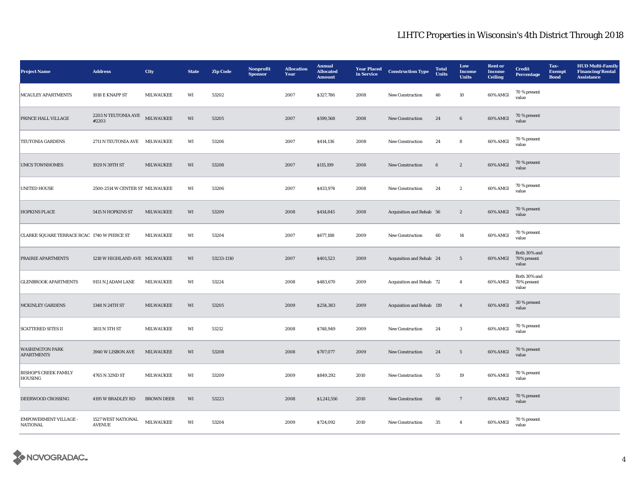| <b>Project Name</b>                         | <b>Address</b>                                 | City              | <b>State</b> | <b>Zip Code</b> | Nonprofit<br><b>Sponsor</b> | <b>Allocation</b><br>Year | <b>Annual</b><br><b>Allocated</b><br><b>Amount</b> | <b>Year Placed</b><br>in Service | <b>Construction Type</b>  | <b>Total</b><br><b>Units</b> | Low<br>Income<br><b>Units</b> | <b>Rent or</b><br><b>Income</b><br><b>Ceiling</b> | <b>Credit</b><br><b>Percentage</b>   | Tax-<br><b>Exempt</b><br><b>Bond</b> | <b>HUD Multi-Family</b><br><b>Financing/Rental</b><br><b>Assistance</b> |
|---------------------------------------------|------------------------------------------------|-------------------|--------------|-----------------|-----------------------------|---------------------------|----------------------------------------------------|----------------------------------|---------------------------|------------------------------|-------------------------------|---------------------------------------------------|--------------------------------------|--------------------------------------|-------------------------------------------------------------------------|
| <b>MCAULEY APARTMENTS</b>                   | 1018 E KNAPP ST                                | MILWAUKEE         | WI           | 53202           |                             | 2007                      | \$327,786                                          | 2008                             | <b>New Construction</b>   | 46                           | 10                            | 60% AMGI                                          | 70 % present<br>value                |                                      |                                                                         |
| PRINCE HALL VILLAGE                         | $2203$ N TEUTONIA AVE $$\tt MILWAWKE$<br>#2203 |                   | WI           | 53205           |                             | 2007                      | \$599,568                                          | 2008                             | New Construction          | 24                           | $\,6\,$                       | 60% AMGI                                          | 70 % present<br>value                |                                      |                                                                         |
| <b>TEUTONIA GARDENS</b>                     | 2711 N TEUTONIA AVE MILWAUKEE                  |                   | WI           | 53206           |                             | 2007                      | \$414,136                                          | 2008                             | <b>New Construction</b>   | 24                           | 8                             | 60% AMGI                                          | 70 % present<br>value                |                                      |                                                                         |
| <b>UMCS TOWNHOMES</b>                       | 1929 N 39TH ST                                 | MILWAUKEE         | WI           | 53208           |                             | 2007                      | \$115,199                                          | 2008                             | <b>New Construction</b>   | $6\phantom{.}6$              | $\boldsymbol{2}$              | 60% AMGI                                          | 70 % present<br>value                |                                      |                                                                         |
| <b>UNITED HOUSE</b>                         | 2500-2514 W CENTER ST MILWAUKEE                |                   | WI           | 53206           |                             | 2007                      | \$433,974                                          | 2008                             | <b>New Construction</b>   | 24                           | $\boldsymbol{2}$              | 60% AMGI                                          | 70 % present<br>value                |                                      |                                                                         |
| <b>HOPKINS PLACE</b>                        | 5415 N HOPKINS ST                              | <b>MILWAUKEE</b>  | WI           | 53209           |                             | 2008                      | \$414,845                                          | 2008                             | Acquisition and Rehab 56  |                              | $\boldsymbol{2}$              | 60% AMGI                                          | 70 % present<br>value                |                                      |                                                                         |
| CLARKE SQUARE TERRACE RCAC 1740 W PIERCE ST |                                                | MILWAUKEE         | WI           | 53204           |                             | 2007                      | \$677,188                                          | 2009                             | New Construction          | 60                           | 14                            | 60% AMGI                                          | 70 % present<br>value                |                                      |                                                                         |
| PRAIRIE APARTMENTS                          | 1218 W HIGHLAND AVE MILWAUKEE                  |                   | WI           | 53233-1310      |                             | 2007                      | \$401,523                                          | 2009                             | Acquisition and Rehab 24  |                              | $5\phantom{.0}$               | $60\%$ AMGI                                       | Both 30% and<br>70% present<br>value |                                      |                                                                         |
| <b>GLENBROOK APARTMENTS</b>                 | 9151 N JADAM LANE                              | MILWAUKEE         | WI           | 53224           |                             | 2008                      | \$483,670                                          | 2009                             | Acquisition and Rehab 72  |                              | $\boldsymbol{4}$              | 60% AMGI                                          | Both 30% and<br>70% present<br>value |                                      |                                                                         |
| <b>MCKINLEY GARDENS</b>                     | 1348 N 24TH ST                                 | MILWAUKEE         | WI           | 53205           |                             | 2009                      | \$254,383                                          | 2009                             | Acquisition and Rehab 119 |                              | $\overline{4}$                | 60% AMGI                                          | 30 % present<br>value                |                                      |                                                                         |
| <b>SCATTERED SITES II</b>                   | 3811 N 5TH ST                                  | MILWAUKEE         | WI           | 53212           |                             | 2008                      | \$748,949                                          | 2009                             | <b>New Construction</b>   | 24                           | $\mathbf{3}$                  | 60% AMGI                                          | 70 % present<br>value                |                                      |                                                                         |
| <b>WASHINGTON PARK</b><br><b>APARTMENTS</b> | 3940 W LISBON AVE                              | MILWAUKEE         | WI           | 53208           |                             | 2008                      | \$707,077                                          | 2009                             | <b>New Construction</b>   | 24                           | $5\phantom{.0}$               | 60% AMGI                                          | 70 % present<br>value                |                                      |                                                                         |
| <b>BISHOP'S CREEK FAMILY</b><br>HOUSING     | 4765 N 32ND ST                                 | MILWAUKEE         | WI           | 53209           |                             | 2009                      | \$849,292                                          | 2010                             | New Construction          | 55                           | 19                            | 60% AMGI                                          | 70 % present<br>value                |                                      |                                                                         |
| DEERWOOD CROSSING                           | 4195 W BRADLEY RD                              | <b>BROWN DEER</b> | WI           | 53223           |                             | 2008                      | \$1,241,556                                        | 2010                             | <b>New Construction</b>   | 66                           | $7\phantom{.0}$               | 60% AMGI                                          | 70 % present<br>value                |                                      |                                                                         |
| EMPOWERMENT VILLAGE -<br>NATIONAL           | 1527 WEST NATIONAL<br><b>AVENUE</b>            | MILWAUKEE         | WI           | 53204           |                             | 2009                      | \$724,092                                          | 2010                             | New Construction          | 35                           | $\overline{4}$                | 60% AMGI                                          | 70 % present<br>value                |                                      |                                                                         |

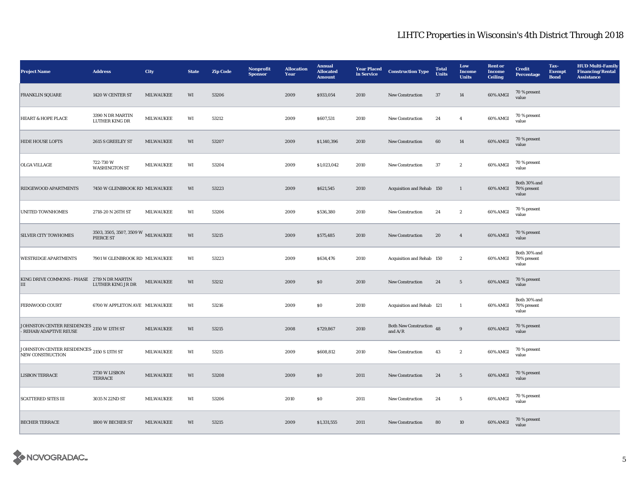| <b>Project Name</b>                                                  | <b>Address</b>                                                   | City             | <b>State</b> | <b>Zip Code</b> | Nonprofit<br><b>Sponsor</b> | <b>Allocation</b><br>Year | <b>Annual</b><br><b>Allocated</b><br><b>Amount</b> | <b>Year Placed</b><br>in Service | <b>Construction Type</b>                  | <b>Total</b><br>Units | Low<br>Income<br><b>Units</b> | <b>Rent</b> or<br><b>Income</b><br>Ceiling | <b>Credit</b><br><b>Percentage</b>   | Tax-<br><b>Exempt</b><br><b>Bond</b> | <b>HUD Multi-Family</b><br><b>Financing/Rental</b><br><b>Assistance</b> |
|----------------------------------------------------------------------|------------------------------------------------------------------|------------------|--------------|-----------------|-----------------------------|---------------------------|----------------------------------------------------|----------------------------------|-------------------------------------------|-----------------------|-------------------------------|--------------------------------------------|--------------------------------------|--------------------------------------|-------------------------------------------------------------------------|
| <b>FRANKLIN SQUARE</b>                                               | 1420 W CENTER ST                                                 | MILWAUKEE        | WI           | 53206           |                             | 2009                      | \$933,054                                          | 2010                             | New Construction                          | 37                    | 14                            | 60% AMGI                                   | 70 % present<br>value                |                                      |                                                                         |
| <b>HEART &amp; HOPE PLACE</b>                                        | 3390 N DR MARTIN<br>LUTHER KING DR                               | MILWAUKEE        | WI           | 53212           |                             | 2009                      | \$607,531                                          | 2010                             | <b>New Construction</b>                   | 24                    | $\overline{4}$                | 60% AMGI                                   | 70 % present<br>value                |                                      |                                                                         |
| <b>HIDE HOUSE LOFTS</b>                                              | 2615 S GREELEY ST                                                | MILWAUKEE        | WI           | 53207           |                             | 2009                      | \$1,140,396                                        | 2010                             | <b>New Construction</b>                   | 60                    | 14                            | 60% AMGI                                   | 70 % present<br>value                |                                      |                                                                         |
| <b>OLGA VILLAGE</b>                                                  | 722-730W<br><b>WASHINGTON ST</b>                                 | MILWAUKEE        | WI           | 53204           |                             | 2009                      | \$1,023,042                                        | 2010                             | New Construction                          | 37                    | $\boldsymbol{2}$              | 60% AMGI                                   | 70 % present<br>value                |                                      |                                                                         |
| <b>RIDGEWOOD APARTMENTS</b>                                          | 7450 W GLENBROOK RD MILWAUKEE                                    |                  | WI           | 53223           |                             | 2009                      | \$621,545                                          | 2010                             | Acquisition and Rehab 150                 |                       | $\mathbf{1}$                  | 60% AMGI                                   | Both 30% and<br>70% present<br>value |                                      |                                                                         |
| <b>UNITED TOWNHOMES</b>                                              | 2718-20 N 26TH ST                                                | <b>MILWAUKEE</b> | WI           | 53206           |                             | 2009                      | \$536,380                                          | 2010                             | New Construction                          | 24                    | $\boldsymbol{2}$              | 60% AMGI                                   | 70 % present<br>value                |                                      |                                                                         |
| <b>SILVER CITY TOWHOMES</b>                                          | 3503, 3505, 3507, 3509 $\text{W}_{\text{MLWAUKEE}}$<br>PIERCE ST |                  | WI           | 53215           |                             | 2009                      | \$575,485                                          | 2010                             | New Construction                          | 20                    | $\overline{4}$                | 60% AMGI                                   | 70 % present<br>value                |                                      |                                                                         |
| <b>WESTRIDGE APARTMENTS</b>                                          | 7901 W GLENBROOK RD MILWAUKEE                                    |                  | WI           | 53223           |                             | 2009                      | \$634,476                                          | 2010                             | Acquisition and Rehab 150                 |                       | $\boldsymbol{2}$              | 60% AMGI                                   | Both 30% and<br>70% present<br>value |                                      |                                                                         |
| KING DRIVE COMMONS - PHASE 2719 N DR MARTIN<br>Ш                     | LUTHER KING JR DR                                                | MILWAUKEE        | WI           | 53212           |                             | 2009                      | $\$0$                                              | 2010                             | New Construction                          | 24                    | $5\phantom{.0}$               | 60% AMGI                                   | 70 % present<br>value                |                                      |                                                                         |
| <b>FERNWOOD COURT</b>                                                | 6700 W APPLETON AVE MILWAUKEE                                    |                  | WI           | 53216           |                             | 2009                      | $\$0$                                              | 2010                             | Acquisition and Rehab 121                 |                       | $\mathbf{1}$                  | 60% AMGI                                   | Both 30% and<br>70% present<br>value |                                      |                                                                         |
| JOHNSTON CENTER RESIDENCES 2150 W 13TH ST<br>- REHAB/ADAPTIVE REUSE  |                                                                  | <b>MILWAUKEE</b> | WI           | 53215           |                             | 2008                      | \$729,867                                          | 2010                             | Both New Construction 48<br>and $\rm A/R$ |                       | $9\,$                         | 60% AMGI                                   | 70 % present<br>value                |                                      |                                                                         |
| JOHNSTON CENTER RESIDENCES 2150 S 13TH ST<br><b>NEW CONSTRUCTION</b> |                                                                  | MILWAUKEE        | WI           | 53215           |                             | 2009                      | \$608,812                                          | 2010                             | <b>New Construction</b>                   | 43                    | $\boldsymbol{2}$              | 60% AMGI                                   | 70 % present<br>value                |                                      |                                                                         |
| <b>LISBON TERRACE</b>                                                | 2730 W LISBON<br>TERRACE                                         | MILWAUKEE        | WI           | 53208           |                             | 2009                      | \$0                                                | 2011                             | <b>New Construction</b>                   | 24                    | $5\phantom{.0}$               | 60% AMGI                                   | 70 % present<br>value                |                                      |                                                                         |
| <b>SCATTERED SITES III</b>                                           | 3035 N 22ND ST                                                   | MILWAUKEE        | WI           | 53206           |                             | 2010                      | <b>SO</b>                                          | 2011                             | New Construction                          | 24                    | $5\overline{ }$               | 60% AMGI                                   | 70 % present<br>value                |                                      |                                                                         |
| <b>BECHER TERRACE</b>                                                | 1800 W BECHER ST                                                 | MILWAUKEE        | WI           | 53215           |                             | 2009                      | \$1,331,555                                        | 2011                             | <b>New Construction</b>                   | 80                    | $10\,$                        | 60% AMGI                                   | 70 % present<br>value                |                                      |                                                                         |

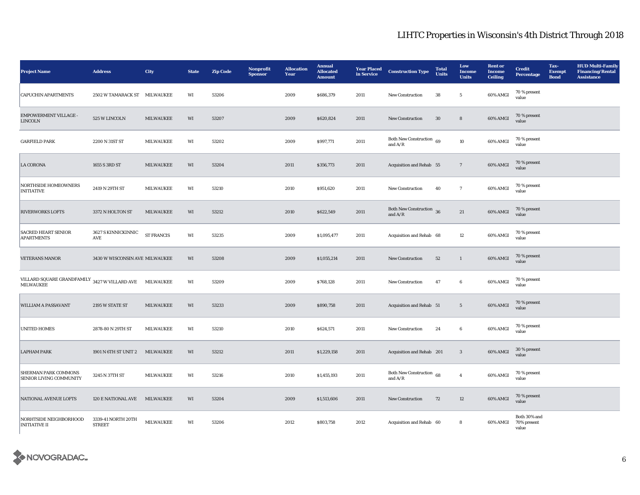| <b>Project Name</b>                                                                    | <b>Address</b>                                       | City              | <b>State</b> | <b>Zip Code</b> | Nonprofit<br><b>Sponsor</b> | <b>Allocation</b><br>Year | <b>Annual</b><br><b>Allocated</b><br><b>Amount</b> | <b>Year Placed</b><br>in Service | <b>Construction Type</b>                    | <b>Total</b><br><b>Units</b> | Low<br><b>Income</b><br><b>Units</b> | <b>Rent</b> or<br><b>Income</b><br><b>Ceiling</b> | <b>Credit</b><br>Percentage                   | Tax-<br><b>Exempt</b><br><b>Bond</b> | <b>HUD Multi-Family</b><br><b>Financing/Rental</b><br><b>Assistance</b> |
|----------------------------------------------------------------------------------------|------------------------------------------------------|-------------------|--------------|-----------------|-----------------------------|---------------------------|----------------------------------------------------|----------------------------------|---------------------------------------------|------------------------------|--------------------------------------|---------------------------------------------------|-----------------------------------------------|--------------------------------------|-------------------------------------------------------------------------|
| <b>CAPUCHIN APARTMENTS</b>                                                             | 2502 W TAMARACK ST MILWAUKEE                         |                   | WI           | 53206           |                             | 2009                      | \$686,379                                          | 2011                             | <b>New Construction</b>                     | 38                           | $5\phantom{.0}$                      | 60% AMGI                                          | $70\,\%$ present<br>value                     |                                      |                                                                         |
| EMPOWERMENT VILLAGE -<br>LINCOLN                                                       | 525 W LINCOLN                                        | MILWAUKEE         | WI           | 53207           |                             | 2009                      | \$620,824                                          | 2011                             | <b>New Construction</b>                     | 30                           | ${\bf 8}$                            | 60% AMGI                                          | 70 % present<br>value                         |                                      |                                                                         |
| <b>GARFIELD PARK</b>                                                                   | 2200 N 31ST ST                                       | MILWAUKEE         | WI           | 53202           |                             | 2009                      | \$997,771                                          | 2011                             | Both New Construction $69$<br>and $\rm A/R$ |                              | 10                                   | 60% AMGI                                          | 70 % present<br>value                         |                                      |                                                                         |
| <b>LA CORONA</b>                                                                       | 1655 S 3RD ST                                        | MILWAUKEE         | WI           | 53204           |                             | 2011                      | \$356,773                                          | 2011                             | Acquisition and Rehab 55                    |                              | $7\phantom{.0}$                      | 60% AMGI                                          | 70 % present<br>value                         |                                      |                                                                         |
| NORTHSIDE HOMEOWNERS<br><b>INITIATIVE</b>                                              | 2419 N 29TH ST                                       | MILWAUKEE         | WI           | 53210           |                             | 2010                      | \$951,620                                          | 2011                             | <b>New Construction</b>                     | 40                           | $\tau$                               | 60% AMGI                                          | 70 % present<br>value                         |                                      |                                                                         |
| <b>RIVERWORKS LOFTS</b>                                                                | 3372 N HOLTON ST                                     | MILWAUKEE         | WI           | 53212           |                             | 2010                      | \$622,549                                          | 2011                             | Both New Construction 36<br>and $A/R$       |                              | $21\,$                               | 60% AMGI                                          | 70 % present<br>value                         |                                      |                                                                         |
| <b>SACRED HEART SENIOR</b><br><b>APARTMENTS</b>                                        | 3627 S KINNICKINNIC<br>$\operatorname{\mathsf{AVE}}$ | <b>ST FRANCIS</b> | WI           | 53235           |                             | 2009                      | \$1,095,477                                        | 2011                             | Acquisition and Rehab 68                    |                              | 12                                   | 60% AMGI                                          | 70 % present<br>value                         |                                      |                                                                         |
| <b>VETERANS MANOR</b>                                                                  | 3430 W WISCONSIN AVE MILWAUKEE                       |                   | WI           | 53208           |                             | 2009                      | \$1,055,214                                        | 2011                             | <b>New Construction</b>                     | 52                           | $\mathbf{1}$                         | 60% AMGI                                          | 70 % present<br>value                         |                                      |                                                                         |
| VILLARD SQUARE GRANDFAMILY $_{\rm 3427}$ W VILLARD AVE $\qquad$ MILWAUKEE<br>MILWAUKEE |                                                      |                   | WI           | 53209           |                             | 2009                      | \$768,128                                          | 2011                             | <b>New Construction</b>                     | 47                           | 6                                    | 60% AMGI                                          | 70 % present<br>value                         |                                      |                                                                         |
| <b>WILLIAM A PASSAVANT</b>                                                             | 2195 W STATE ST                                      | MILWAUKEE         | WI           | 53233           |                             | 2009                      | \$890,758                                          | 2011                             | Acquisition and Rehab 51                    |                              | $\sqrt{5}$                           | 60% AMGI                                          | 70 % present<br>value                         |                                      |                                                                         |
| <b>UNITED HOMES</b>                                                                    | 2878-80 N 29TH ST                                    | <b>MILWAUKEE</b>  | WI           | 53210           |                             | 2010                      | \$624,571                                          | 2011                             | New Construction                            | 24                           | $\bf 6$                              | 60% AMGI                                          | 70 % present<br>value                         |                                      |                                                                         |
| <b>LAPHAM PARK</b>                                                                     | 1901 N 6TH ST UNIT 2 MILWAUKEE                       |                   | WI           | 53212           |                             | 2011                      | \$1,229,158                                        | 2011                             | Acquisition and Rehab 201                   |                              | 3                                    | 60% AMGI                                          | 30 % present<br>value                         |                                      |                                                                         |
| <b>SHERMAN PARK COMMONS</b><br><b>SENIOR LIVING COMMUNITY</b>                          | 3245 N 37TH ST                                       | MILWAUKEE         | WI           | 53216           |                             | 2010                      | \$1,455,193                                        | 2011                             | <b>Both New Construction</b><br>and $A/R$   | 68                           | $\overline{4}$                       | 60% AMGI                                          | 70 % present<br>value                         |                                      |                                                                         |
| NATIONAL AVENUE LOFTS                                                                  | 120 E NATIONAL AVE                                   | MILWAUKEE         | WI           | 53204           |                             | 2009                      | \$1,513,606                                        | 2011                             | New Construction                            | 72                           | 12                                   | 60% AMGI                                          | 70 % present<br>value                         |                                      |                                                                         |
| <b>NORHTSIDE NEIGHBORHOOD</b><br><b>INITIATIVE II</b>                                  | 3339-41 NORTH 20TH<br><b>STREET</b>                  | MILWAUKEE         | WI           | 53206           |                             | 2012                      | \$803,758                                          | 2012                             | Acquisition and Rehab 60                    |                              | 8                                    |                                                   | Both 30% and<br>60% AMGI 70% present<br>value |                                      |                                                                         |

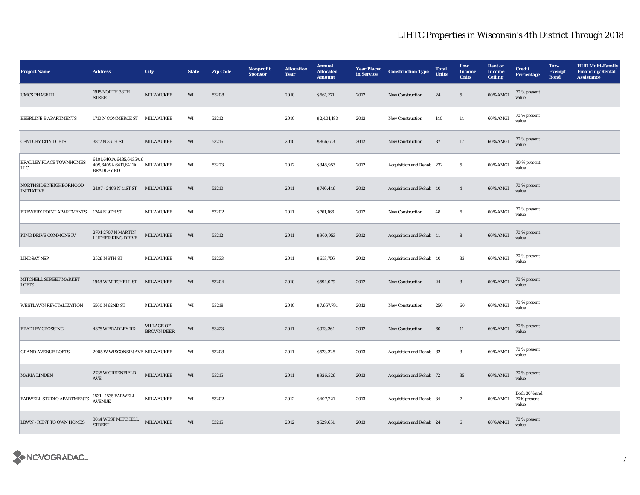| <b>Project Name</b>                         | <b>Address</b>                                                       | City                                   | <b>State</b> | <b>Zip Code</b> | Nonprofit<br><b>Sponsor</b> | <b>Allocation</b><br>Year | <b>Annual</b><br><b>Allocated</b><br><b>Amount</b> | <b>Year Placed</b><br>in Service | <b>Construction Type</b>  | <b>Total</b><br><b>Units</b> | Low<br><b>Income</b><br><b>Units</b> | <b>Rent or</b><br><b>Income</b><br><b>Ceiling</b> | <b>Credit</b><br><b>Percentage</b>   | Tax-<br><b>Exempt</b><br><b>Bond</b> | <b>HUD Multi-Family</b><br><b>Financing/Rental</b><br><b>Assistance</b> |
|---------------------------------------------|----------------------------------------------------------------------|----------------------------------------|--------------|-----------------|-----------------------------|---------------------------|----------------------------------------------------|----------------------------------|---------------------------|------------------------------|--------------------------------------|---------------------------------------------------|--------------------------------------|--------------------------------------|-------------------------------------------------------------------------|
| <b>UMCS PHASE III</b>                       | <b>1915 NORTH 38TH</b><br><b>STREET</b>                              | MILWAUKEE                              | WI           | 53208           |                             | 2010                      | \$661,271                                          | 2012                             | New Construction          | 24                           | $5\phantom{.0}$                      | 60% AMGI                                          | 70 % present<br>value                |                                      |                                                                         |
| BEERLINE B APARTMENTS                       | 1710 N COMMERCE ST                                                   | <b>MILWAUKEE</b>                       | WI           | 53212           |                             | 2010                      | \$2,401,183                                        | 2012                             | New Construction          | 140                          | 14                                   | 60% AMGI                                          | 70 % present<br>value                |                                      |                                                                         |
| <b>CENTURY CITY LOFTS</b>                   | 3817 N 35TH ST                                                       | MILWAUKEE                              | WI           | 53216           |                             | 2010                      | \$866,613                                          | 2012                             | New Construction          | 37                           | $17\,$                               | 60% AMGI                                          | 70 % present<br>value                |                                      |                                                                         |
| <b>BRADLEY PLACE TOWNHOMES</b><br>LLC       | 6401,6401A,6435,6435A,6<br>409,6409A 6411,6411A<br><b>BRADLEY RD</b> | <b>MILWAUKEE</b>                       | WI           | 53223           |                             | 2012                      | \$348,953                                          | 2012                             | Acquisition and Rehab 232 |                              | $5\phantom{.0}$                      | 60% AMGI                                          | 30 % present<br>value                |                                      |                                                                         |
| NORTHSIDE NEIGHBORHOOD<br><b>INITIATIVE</b> | 2407 - 2409 N 41ST ST                                                | <b>MILWAUKEE</b>                       | WI           | 53210           |                             | 2011                      | \$740,446                                          | 2012                             | Acquisition and Rehab 40  |                              | $\bf{4}$                             | 60% AMGI                                          | 70 % present<br>value                |                                      |                                                                         |
| <b>BREWERY POINT APARTMENTS</b>             | 1244 N 9TH ST                                                        | MILWAUKEE                              | WI           | 53202           |                             | 2011                      | \$761,166                                          | 2012                             | New Construction          | 48                           | $6\phantom{.0}$                      | 60% AMGI                                          | 70 % present<br>value                |                                      |                                                                         |
| <b>KING DRIVE COMMONS IV</b>                | 2701-2707 N MARTIN<br>LUTHER KING DRIVE                              | <b>MILWAUKEE</b>                       | WI           | 53212           |                             | 2011                      | \$960,953                                          | 2012                             | Acquisition and Rehab 41  |                              | $\bf8$                               | 60% AMGI                                          | 70 % present<br>value                |                                      |                                                                         |
| <b>LINDSAY NSP</b>                          | 2529 N 9TH ST                                                        | MILWAUKEE                              | WI           | 53233           |                             | 2011                      | \$653,756                                          | 2012                             | Acquisition and Rehab 40  |                              | 33                                   | 60% AMGI                                          | 70 % present<br>value                |                                      |                                                                         |
| MITCHELL STREET MARKET<br><b>LOFTS</b>      | 1948 W MITCHELL ST                                                   | MILWAUKEE                              | WI           | 53204           |                             | 2010                      | \$594,079                                          | 2012                             | New Construction          | 24                           | $\mathbf{3}$                         | 60% AMGI                                          | 70 % present<br>value                |                                      |                                                                         |
| WESTLAWN REVITALIZATION                     | 5560 N 62ND ST                                                       | <b>MILWAUKEE</b>                       | WI           | 53218           |                             | 2010                      | \$7,667,791                                        | 2012                             | New Construction          | 250                          | 60                                   | 60% AMGI                                          | 70 % present<br>value                |                                      |                                                                         |
| <b>BRADLEY CROSSING</b>                     | 4375 W BRADLEY RD                                                    | <b>VILLAGE OF</b><br><b>BROWN DEER</b> | WI           | 53223           |                             | 2011                      | \$973,261                                          | 2012                             | New Construction          | 60                           | 11                                   | 60% AMGI                                          | 70 % present<br>value                |                                      |                                                                         |
| <b>GRAND AVENUE LOFTS</b>                   | 2905 W WISCONSIN AVE MILWAUKEE                                       |                                        | WI           | 53208           |                             | 2011                      | \$523,225                                          | 2013                             | Acquisition and Rehab 32  |                              | $\mathbf{3}$                         | 60% AMGI                                          | 70 % present<br>value                |                                      |                                                                         |
| <b>MARIA LINDEN</b>                         | 2735 W GREENFIELD<br>AVE                                             | <b>MILWAUKEE</b>                       | WI           | 53215           |                             | 2011                      | \$926,326                                          | 2013                             | Acquisition and Rehab 72  |                              | $35\,$                               | 60% AMGI                                          | 70 % present<br>value                |                                      |                                                                         |
| FARWELL STUDIO APARTMENTS                   | 1531 - 1535 FARWELL<br><b>AVENUE</b>                                 | MILWAUKEE                              | WI           | 53202           |                             | 2012                      | \$407,221                                          | 2013                             | Acquisition and Rehab 34  |                              | $\tau$                               | 60% AMGI                                          | Both 30% and<br>70% present<br>value |                                      |                                                                         |
| <b>LBWN - RENT TO OWN HOMES</b>             | 3014 WEST MITCHELL<br><b>STREET</b>                                  | MILWAUKEE                              | WI           | 53215           |                             | 2012                      | \$529,651                                          | 2013                             | Acquisition and Rehab 24  |                              | $6\phantom{.0}$                      | 60% AMGI                                          | 70 % present<br>value                |                                      |                                                                         |

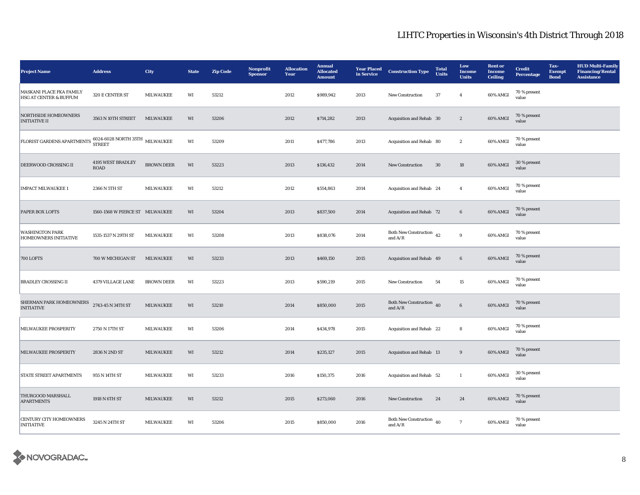| <b>Project Name</b>                                           | <b>Address</b>                                           | City              | <b>State</b> | <b>Zip Code</b> | Nonprofit<br><b>Sponsor</b> | <b>Allocation</b><br>Year | <b>Annual</b><br><b>Allocated</b><br><b>Amount</b> | <b>Year Placed</b><br>in Service | <b>Construction Type</b>                                                                    | <b>Total</b><br><b>Units</b> | Low<br>Income<br><b>Units</b> | <b>Rent</b> or<br><b>Income</b><br>Ceiling | <b>Credit</b><br><b>Percentage</b> | Tax-<br><b>Exempt</b><br><b>Bond</b> | <b>HUD Multi-Family</b><br><b>Financing/Rental</b><br><b>Assistance</b> |
|---------------------------------------------------------------|----------------------------------------------------------|-------------------|--------------|-----------------|-----------------------------|---------------------------|----------------------------------------------------|----------------------------------|---------------------------------------------------------------------------------------------|------------------------------|-------------------------------|--------------------------------------------|------------------------------------|--------------------------------------|-------------------------------------------------------------------------|
| MASKANI PLACE FKA FAMILY<br><b>HSG AT CENTER &amp; BUFFUM</b> | 320 E CENTER ST                                          | MILWAUKEE         | WI           | 53212           |                             | 2012                      | \$989,942                                          | 2013                             | New Construction                                                                            | 37                           | $\overline{4}$                | 60% AMGI                                   | 70 % present<br>value              |                                      |                                                                         |
| <b>NORTHSIDE HOMEOWNERS</b><br><b>INITIATIVE II</b>           | 3563 N 10TH STREET                                       | MILWAUKEE         | WI           | 53206           |                             | 2012                      | \$714,282                                          | 2013                             | Acquisition and Rehab 30                                                                    |                              | $\boldsymbol{2}$              | 60% AMGI                                   | 70 % present<br>value              |                                      |                                                                         |
| FLORIST GARDENS APARTMENTS                                    | 6024-6028 NORTH 35TH $_{\rm~MILWAUKEE}$<br><b>STREET</b> |                   | WI           | 53209           |                             | 2011                      | \$477,786                                          | 2013                             | Acquisition and Rehab 80                                                                    |                              | $\boldsymbol{2}$              | 60% AMGI                                   | 70 % present<br>value              |                                      |                                                                         |
| DEERWOOD CROSSING II                                          | 4195 WEST BRADLEY<br><b>ROAD</b>                         | <b>BROWN DEER</b> | WI           | 53223           |                             | 2013                      | \$136,432                                          | 2014                             | <b>New Construction</b>                                                                     | 30                           | 18                            | 60% AMGI                                   | 30 % present<br>value              |                                      |                                                                         |
| <b>IMPACT MILWAUKEE 1</b>                                     | 2366 N 5TH ST                                            | MILWAUKEE         | WI           | 53212           |                             | 2012                      | \$554,863                                          | 2014                             | Acquisition and Rehab 24                                                                    |                              | $\overline{4}$                | 60% AMGI                                   | 70 % present<br>value              |                                      |                                                                         |
| <b>PAPER BOX LOFTS</b>                                        | 1560-1568 W PIERCE ST MILWAUKEE                          |                   | WI           | 53204           |                             | 2013                      | \$837,500                                          | 2014                             | Acquisition and Rehab 72                                                                    |                              | $\bf 6$                       | 60% AMGI                                   | 70 % present<br>value              |                                      |                                                                         |
| <b>WASHINGTON PARK</b><br><b>HOMEOWNERS INITIATIVE</b>        | 1535-1537 N 29TH ST                                      | <b>MILWAUKEE</b>  | WI           | 53208           |                             | 2013                      | \$838,076                                          | 2014                             | Both New Construction $\,$ 42<br>and $\rm A/R$                                              |                              | $\boldsymbol{9}$              | 60% AMGI                                   | 70 % present<br>value              |                                      |                                                                         |
| 700 LOFTS                                                     | 700 W MICHIGAN ST                                        | MILWAUKEE         | WI           | 53233           |                             | 2013                      | \$469,150                                          | 2015                             | Acquisition and Rehab 49                                                                    |                              | $\bf 6$                       | 60% AMGI                                   | 70 % present<br>value              |                                      |                                                                         |
| <b>BRADLEY CROSSING II</b>                                    | 4379 VILLAGE LANE                                        | <b>BROWN DEER</b> | WI           | 53223           |                             | 2013                      | \$590,219                                          | 2015                             | New Construction                                                                            | 54                           | $15\,$                        | 60% AMGI                                   | 70 % present<br>value              |                                      |                                                                         |
| SHERMAN PARK HOMEOWNERS<br><b>INITIATIVE</b>                  | 2743-45 N 34TH ST                                        | MILWAUKEE         | WI           | 53210           |                             | 2014                      | \$850,000                                          | 2015                             | Both New Construction $\,$ 40 $\,$<br>and $A/R$                                             |                              | $\,6\,$                       | 60% AMGI                                   | 70 % present<br>value              |                                      |                                                                         |
| MILWAUKEE PROSPERITY                                          | 2750 N 17TH ST                                           | MILWAUKEE         | WI           | 53206           |                             | 2014                      | \$434,978                                          | 2015                             | Acquisition and Rehab 22                                                                    |                              | 8                             | 60% AMGI                                   | 70 % present<br>value              |                                      |                                                                         |
| MILWAUKEE PROSPERITY                                          | 2836 N 2ND ST                                            | MILWAUKEE         | WI           | 53212           |                             | 2014                      | \$235,127                                          | 2015                             | Acquisition and Rehab 13                                                                    |                              | 9                             | 60% AMGI                                   | 70 % present<br>value              |                                      |                                                                         |
| <b>STATE STREET APARTMENTS</b>                                | 955 N 14TH ST                                            | <b>MILWAUKEE</b>  | WI           | 53233           |                             | 2016                      | \$150,375                                          | 2016                             | Acquisition and Rehab 52                                                                    |                              | $\mathbf{1}$                  | 60% AMGI                                   | 30 % present<br>value              |                                      |                                                                         |
| THURGOOD MARSHALL<br><b>APARTMENTS</b>                        | 1918 N 6TH ST                                            | MILWAUKEE         | WI           | 53212           |                             | 2015                      | \$273,060                                          | 2016                             | <b>New Construction</b>                                                                     | 24                           | 24                            | 60% AMGI                                   | 70 % present<br>value              |                                      |                                                                         |
| <b>CENTURY CITY HOMEOWNERS</b><br><b>INITIATIVE</b>           | 3245 N 24TH ST                                           | MILWAUKEE         | WI           | 53206           |                             | 2015                      | \$850,000                                          | 2016                             | Both New Construction $\,$ 40 $\,$<br>and $\ensuremath{\mathrm{A}}/\ensuremath{\mathrm{R}}$ |                              | $7\phantom{.0}$               | 60% AMGI                                   | 70 % present<br>value              |                                      |                                                                         |

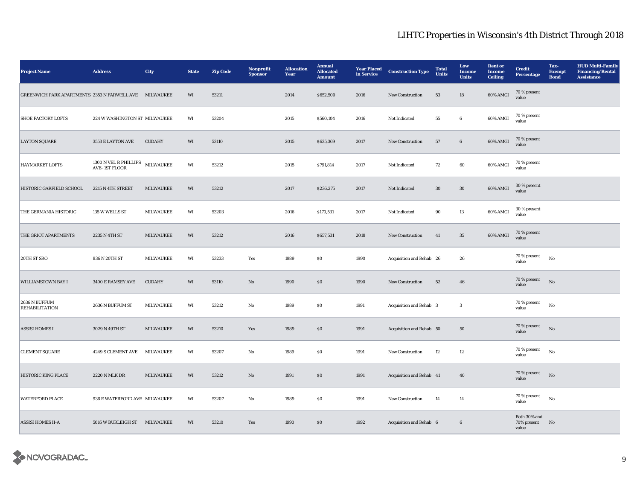| <b>Project Name</b>                                    | <b>Address</b>                         | City             | <b>State</b> | <b>Zip Code</b> | Nonprofit<br><b>Sponsor</b> | <b>Allocation</b><br>Year | <b>Annual</b><br><b>Allocated</b><br><b>Amount</b> | <b>Year Placed</b><br>in Service | <b>Construction Type</b> | <b>Total</b><br><b>Units</b> | Low<br>Income<br><b>Units</b> | <b>Rent</b> or<br><b>Income</b><br><b>Ceiling</b> | <b>Credit</b><br><b>Percentage</b>   | Tax-<br><b>Exempt</b><br><b>Bond</b> | <b>HUD Multi-Family</b><br><b>Financing/Rental</b><br><b>Assistance</b> |
|--------------------------------------------------------|----------------------------------------|------------------|--------------|-----------------|-----------------------------|---------------------------|----------------------------------------------------|----------------------------------|--------------------------|------------------------------|-------------------------------|---------------------------------------------------|--------------------------------------|--------------------------------------|-------------------------------------------------------------------------|
| GREENWICH PARK APARTMENTS 2353 N FARWELL AVE MILWAUKEE |                                        |                  | WI           | 53211           |                             | 2014                      | \$652,500                                          | 2016                             | New Construction         | 53                           | 18                            | 60% AMGI                                          | 70 % present<br>value                |                                      |                                                                         |
| <b>SHOE FACTORY LOFTS</b>                              | 224 W WASHINGTON ST MILWAUKEE          |                  | WI           | 53204           |                             | 2015                      | \$560,104                                          | 2016                             | Not Indicated            | 55                           | $\bf 6$                       | 60% AMGI                                          | 70 % present<br>value                |                                      |                                                                         |
| <b>LAYTON SQUARE</b>                                   | 3553 E LAYTON AVE                      | <b>CUDAHY</b>    | WI           | 53110           |                             | 2015                      | \$635,369                                          | 2017                             | New Construction         | 57                           | $\bf 6$                       | 60% AMGI                                          | 70 % present<br>value                |                                      |                                                                         |
| <b>HAYMARKET LOFTS</b>                                 | 1300 N VEL R PHILLIPS<br>AVE-1ST FLOOR | <b>MILWAUKEE</b> | WI           | 53212           |                             | 2015                      | \$791,814                                          | 2017                             | Not Indicated            | 72                           | 60                            | 60% AMGI                                          | 70 % present<br>value                |                                      |                                                                         |
| HISTORIC GARFIELD SCHOOL                               | 2215 N 4TH STREET                      | MILWAUKEE        | WI           | 53212           |                             | 2017                      | \$236,275                                          | 2017                             | Not Indicated            | 30                           | 30                            | 60% AMGI                                          | 30 % present<br>value                |                                      |                                                                         |
| THE GERMANIA HISTORIC                                  | 135 W WELLS ST                         | MILWAUKEE        | WI           | 53203           |                             | 2016                      | \$170,531                                          | 2017                             | Not Indicated            | 90                           | 13                            | 60% AMGI                                          | 30 % present<br>value                |                                      |                                                                         |
| THE GRIOT APARTMENTS                                   | 2235 N 4TH ST                          | MILWAUKEE        | WI           | 53212           |                             | 2016                      | \$657,531                                          | 2018                             | <b>New Construction</b>  | 41                           | 35                            | 60% AMGI                                          | 70 % present<br>value                |                                      |                                                                         |
| 20TH ST SRO                                            | 836 N 20TH ST                          | MILWAUKEE        | WI           | 53233           | Yes                         | 1989                      | S <sub>0</sub>                                     | 1990                             | Acquisition and Rehab 26 |                              | 26                            |                                                   | 70 % present<br>value                | $_{\rm No}$                          |                                                                         |
| <b>WILLIAMSTOWN BAY I</b>                              | 3400 E RAMSEY AVE                      | <b>CUDAHY</b>    | WI           | 53110           | $\mathbf{N}\mathbf{o}$      | 1990                      | \$0                                                | 1990                             | New Construction         | 52                           | 46                            |                                                   | 70 % present<br>value                | No                                   |                                                                         |
| 2636 N BUFFUM<br><b>REHABILITATION</b>                 | 2636 N BUFFUM ST                       | MILWAUKEE        | WI           | 53212           | No                          | 1989                      | \$0                                                | 1991                             | Acquisition and Rehab 3  |                              | 3                             |                                                   | 70 % present<br>value                | No                                   |                                                                         |
| <b>ASSISI HOMES I</b>                                  | 3029 N 49TH ST                         | MILWAUKEE        | WI           | 53210           | Yes                         | 1989                      | \$0                                                | 1991                             | Acquisition and Rehab 50 |                              | 50                            |                                                   | 70 % present<br>value                | $\rm No$                             |                                                                         |
| <b>CLEMENT SQUARE</b>                                  | 4249 S CLEMENT AVE MILWAUKEE           |                  | WI           | 53207           | No                          | 1989                      | $\$0$                                              | 1991                             | New Construction         | 12                           | $12\,$                        |                                                   | $70$ % present<br>value              | $_{\rm No}$                          |                                                                         |
| <b>HISTORIC KING PLACE</b>                             | 2220 N MLK DR                          | MILWAUKEE        | WI           | 53212           | No                          | 1991                      | \$0                                                | 1991                             | Acquisition and Rehab 41 |                              | 40                            |                                                   | 70 % present<br>value                | $_{\rm No}$                          |                                                                         |
| <b>WATERFORD PLACE</b>                                 | 936 E WATERFORD AVE MILWAUKEE          |                  | WI           | 53207           | $\rm No$                    | 1989                      | $\$0$                                              | 1991                             | New Construction         | 14                           | 14                            |                                                   | 70 % present<br>value                | $_{\rm No}$                          |                                                                         |
| <b>ASSISI HOMES II-A</b>                               | 5016 W BURLEIGH ST MILWAUKEE           |                  | WI           | 53210           | Yes                         | 1990                      | $\$0$                                              | 1992                             | Acquisition and Rehab 6  |                              | $\bf 6$                       |                                                   | Both 30% and<br>70% present<br>value | No                                   |                                                                         |

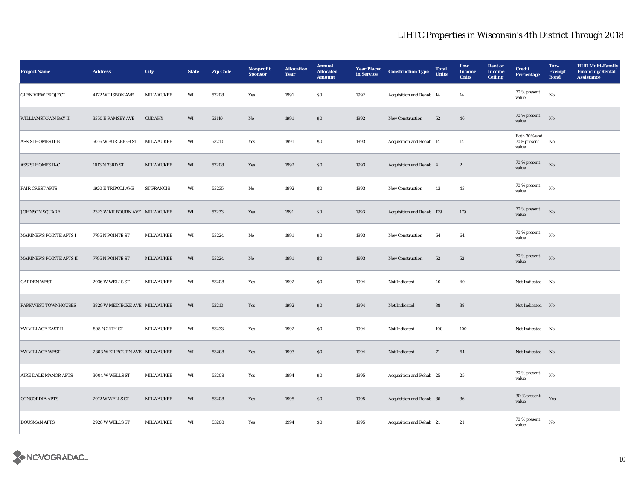| <b>Project Name</b>             | <b>Address</b>                | <b>City</b>       | <b>State</b> | <b>Zip Code</b> | Nonprofit<br><b>Sponsor</b> | <b>Allocation</b><br>Year | <b>Annual</b><br><b>Allocated</b><br><b>Amount</b> | <b>Year Placed</b><br>in Service | <b>Construction Type</b>  | <b>Total</b><br><b>Units</b> | Low<br><b>Income</b><br><b>Units</b> | <b>Rent</b> or<br><b>Income</b><br><b>Ceiling</b> | <b>Credit</b><br>Percentage          | Tax-<br><b>Exempt</b><br><b>Bond</b> | <b>HUD Multi-Family</b><br><b>Financing/Rental</b><br><b>Assistance</b> |
|---------------------------------|-------------------------------|-------------------|--------------|-----------------|-----------------------------|---------------------------|----------------------------------------------------|----------------------------------|---------------------------|------------------------------|--------------------------------------|---------------------------------------------------|--------------------------------------|--------------------------------------|-------------------------------------------------------------------------|
| <b>GLEN VIEW PROJECT</b>        | 4122 W LISBON AVE             | MILWAUKEE         | WI           | 53208           | Yes                         | 1991                      | S <sub>0</sub>                                     | 1992                             | Acquisition and Rehab 14  |                              | 14                                   |                                                   | 70 % present<br>value                | $_{\rm No}$                          |                                                                         |
| <b>WILLIAMSTOWN BAY II</b>      | 3350 E RAMSEY AVE             | <b>CUDAHY</b>     | WI           | 53110           | No                          | 1991                      | \$0                                                | 1992                             | New Construction          | 52                           | 46                                   |                                                   | 70 % present<br>value                | No                                   |                                                                         |
| <b>ASSISI HOMES II-B</b>        | 5016 W BURLEIGH ST            | <b>MILWAUKEE</b>  | WI           | 53210           | Yes                         | 1991                      | $\$0$                                              | 1993                             | Acquisition and Rehab 14  |                              | 14                                   |                                                   | Both 30% and<br>70% present<br>value | No                                   |                                                                         |
| <b>ASSISI HOMES II-C</b>        | 1013 N 33RD ST                | MILWAUKEE         | WI           | 53208           | Yes                         | 1992                      | $\$0$                                              | 1993                             | Acquisition and Rehab 4   |                              | $\boldsymbol{2}$                     |                                                   | 70 % present<br>value                | $_{\rm No}$                          |                                                                         |
| <b>FAIR CREST APTS</b>          | 1920 E TRIPOLI AVE            | <b>ST FRANCIS</b> | WI           | 53235           | No                          | 1992                      | \$0                                                | 1993                             | <b>New Construction</b>   | 43                           | 43                                   |                                                   | 70 % present<br>value                | No                                   |                                                                         |
| <b>JOHNSON SQUARE</b>           | 2323 W KILBOURN AVE MILWAUKEE |                   | WI           | 53233           | Yes                         | 1991                      | \$0                                                | 1993                             | Acquisition and Rehab 179 |                              | 179                                  |                                                   | 70 % present<br>value                | No                                   |                                                                         |
| <b>MARINER'S POINTE APTS I</b>  | 7795 N POINTE ST              | MILWAUKEE         | WI           | 53224           | No                          | 1991                      | $\$0$                                              | 1993                             | New Construction          | 64                           | 64                                   |                                                   | 70 % present<br>value                | $_{\rm No}$                          |                                                                         |
| <b>MARINER'S POINTE APTS II</b> | 7795 N POINTE ST              | MILWAUKEE         | WI           | 53224           | $\mathbf{N}\mathbf{o}$      | 1991                      | \$0                                                | 1993                             | New Construction          | 52                           | 52                                   |                                                   | $70\,\%$ present<br>value            | $_{\rm No}$                          |                                                                         |
| <b>GARDEN WEST</b>              | 2936 W WELLS ST               | MILWAUKEE         | WI           | 53208           | Yes                         | 1992                      | $\$0$                                              | 1994                             | Not Indicated             | 40                           | 40                                   |                                                   | Not Indicated No                     |                                      |                                                                         |
| PARKWEST TOWNHOUSES             | 3829 W MEINECKE AVE MILWAUKEE |                   | WI           | 53210           | Yes                         | 1992                      | \$0                                                | 1994                             | Not Indicated             | 38                           | 38                                   |                                                   | Not Indicated No                     |                                      |                                                                         |
| YW VILLAGE EAST II              | 808 N 24TH ST                 | MILWAUKEE         | WI           | 53233           | Yes                         | 1992                      | \$0                                                | 1994                             | Not Indicated             | 100                          | 100                                  |                                                   | Not Indicated No                     |                                      |                                                                         |
| YW VILLAGE WEST                 | 2803 W KILBOURN AVE MILWAUKEE |                   | WI           | 53208           | Yes                         | 1993                      | \$0                                                | 1994                             | Not Indicated             | 71                           | 64                                   |                                                   | Not Indicated No                     |                                      |                                                                         |
| <b>AIRE DALE MANOR APTS</b>     | 3004 W WELLS ST               | MILWAUKEE         | WI           | 53208           | Yes                         | 1994                      | \$0                                                | 1995                             | Acquisition and Rehab 25  |                              | 25                                   |                                                   | $70~\%$ present<br>value             | No                                   |                                                                         |
| <b>CONCORDIA APTS</b>           | 2912 W WELLS ST               | MILWAUKEE         | WI           | 53208           | Yes                         | 1995                      | \$0                                                | 1995                             | Acquisition and Rehab 36  |                              | 36                                   |                                                   | 30 % present<br>value                | Yes                                  |                                                                         |
| <b>DOUSMAN APTS</b>             | 2928 W WELLS ST               | MILWAUKEE         | WI           | 53208           | Yes                         | 1994                      | \$0                                                | 1995                             | Acquisition and Rehab 21  |                              | 21                                   |                                                   | 70 % present<br>value                | $_{\rm No}$                          |                                                                         |

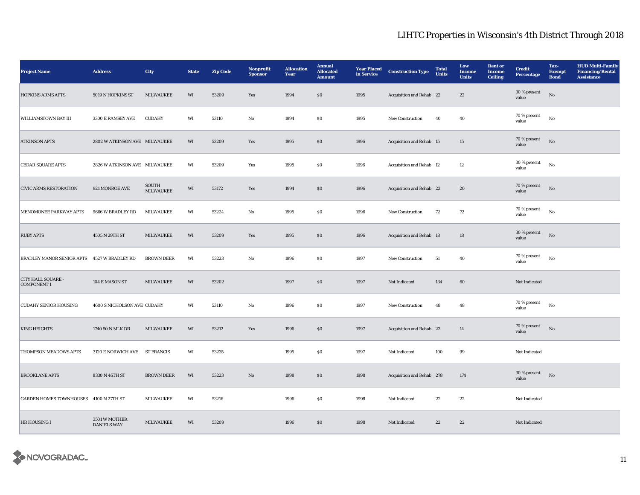| <b>Project Name</b>                            | <b>Address</b>                      | City                      | <b>State</b> | <b>Zip Code</b> | Nonprofit<br><b>Sponsor</b> | <b>Allocation</b><br>Year | <b>Annual</b><br><b>Allocated</b><br><b>Amount</b> | <b>Year Placed</b><br>in Service | <b>Construction Type</b>  | <b>Total</b><br>Units | Low<br><b>Income</b><br><b>Units</b> | <b>Rent</b> or<br><b>Income</b><br><b>Ceiling</b> | <b>Credit</b><br><b>Percentage</b> | Tax-<br><b>Exempt</b><br><b>Bond</b> | <b>HUD Multi-Family</b><br><b>Financing/Rental</b><br><b>Assistance</b> |
|------------------------------------------------|-------------------------------------|---------------------------|--------------|-----------------|-----------------------------|---------------------------|----------------------------------------------------|----------------------------------|---------------------------|-----------------------|--------------------------------------|---------------------------------------------------|------------------------------------|--------------------------------------|-------------------------------------------------------------------------|
| <b>HOPKINS ARMS APTS</b>                       | 5019 N HOPKINS ST                   | <b>MILWAUKEE</b>          | WI           | 53209           | Yes                         | 1994                      | \$0                                                | 1995                             | Acquisition and Rehab 22  |                       | 22                                   |                                                   | 30 % present<br>value              | No                                   |                                                                         |
| WILLIAMSTOWN BAY III                           | 3300 E RAMSEY AVE                   | <b>CUDAHY</b>             | WI           | 53110           | No                          | 1994                      | <b>SO</b>                                          | 1995                             | <b>New Construction</b>   | 40                    | 40                                   |                                                   | 70 % present<br>value              | No                                   |                                                                         |
| <b>ATKINSON APTS</b>                           | 2802 W ATKINSON AVE MILWAUKEE       |                           | WI           | 53209           | Yes                         | 1995                      | $\$0$                                              | 1996                             | Acquisition and Rehab 15  |                       | $15\,$                               |                                                   | 70 % present<br>value              | $_{\rm No}$                          |                                                                         |
| <b>CEDAR SQUARE APTS</b>                       | 2826 W ATKINSON AVE MILWAUKEE       |                           | WI           | 53209           | Yes                         | 1995                      | $\$0$                                              | 1996                             | Acquisition and Rehab 12  |                       | 12                                   |                                                   | 30 % present<br>value              | $_{\rm No}$                          |                                                                         |
| <b>CIVIC ARMS RESTORATION</b>                  | 921 MONROE AVE                      | SOUTH<br><b>MILWAUKEE</b> | WI           | 53172           | Yes                         | 1994                      | \$0                                                | 1996                             | Acquisition and Rehab 22  |                       | 20                                   |                                                   | 70 % present<br>value              | $_{\rm No}$                          |                                                                         |
| MENOMONEE PARKWAY APTS                         | 9666 W BRADLEY RD                   | MILWAUKEE                 | WI           | 53224           | No                          | 1995                      | <b>SO</b>                                          | 1996                             | <b>New Construction</b>   | 72                    | 72                                   |                                                   | 70 % present<br>value              | No                                   |                                                                         |
| <b>RUBY APTS</b>                               | 4505 N 29TH ST                      | MILWAUKEE                 | WI           | 53209           | Yes                         | 1995                      | \$0                                                | 1996                             | Acquisition and Rehab 18  |                       | 18                                   |                                                   | 30 % present<br>value              | No                                   |                                                                         |
| <b>BRADLEY MANOR SENIOR APTS</b>               | 4527 W BRADLEY RD                   | <b>BROWN DEER</b>         | WI           | 53223           | No                          | 1996                      | $\$0$                                              | 1997                             | New Construction          | 51                    | 40                                   |                                                   | 70 % present<br>value              | $_{\rm No}$                          |                                                                         |
| <b>CITY HALL SQUARE -</b><br><b>COMPONENT1</b> | 104 E MASON ST                      | MILWAUKEE                 | WI           | 53202           |                             | 1997                      | \$0                                                | 1997                             | Not Indicated             | 134                   | 60                                   |                                                   | Not Indicated                      |                                      |                                                                         |
| <b>CUDAHY SENIOR HOUSING</b>                   | 4600 S NICHOLSON AVE CUDAHY         |                           | WI           | 53110           | No                          | 1996                      | $\$0$                                              | 1997                             | New Construction          | 48                    | 48                                   |                                                   | 70 % present<br>value              | No                                   |                                                                         |
| <b>KING HEIGHTS</b>                            | 1740 50 N MLK DR                    | MILWAUKEE                 | WI           | 53212           | Yes                         | 1996                      | \$0                                                | 1997                             | Acquisition and Rehab 23  |                       | 14                                   |                                                   | 70 % present<br>value              | $_{\rm No}$                          |                                                                         |
| THOMPSON MEADOWS APTS                          | 3120 E NORWICH AVE ST FRANCIS       |                           | WI           | 53235           |                             | 1995                      | $\$0$                                              | 1997                             | Not Indicated             | 100                   | 99                                   |                                                   | Not Indicated                      |                                      |                                                                         |
| <b>BROOKLANE APTS</b>                          | 8330 N 46TH ST                      | <b>BROWN DEER</b>         | WI           | 53223           | No                          | 1998                      | \$0                                                | 1998                             | Acquisition and Rehab 278 |                       | 174                                  |                                                   | 30 % present<br>value              | No                                   |                                                                         |
| GARDEN HOMES TOWNHOUSES 4100 N 27TH ST         |                                     | <b>MILWAUKEE</b>          | WI           | 53216           |                             | 1996                      | S <sub>0</sub>                                     | 1998                             | Not Indicated             | 22                    | 22                                   |                                                   | Not Indicated                      |                                      |                                                                         |
| HR HOUSING I                                   | 3501 W MOTHER<br><b>DANIELS WAY</b> | MILWAUKEE                 | WI           | 53209           |                             | 1996                      | \$0                                                | 1998                             | Not Indicated             | 22                    | 22                                   |                                                   | Not Indicated                      |                                      |                                                                         |

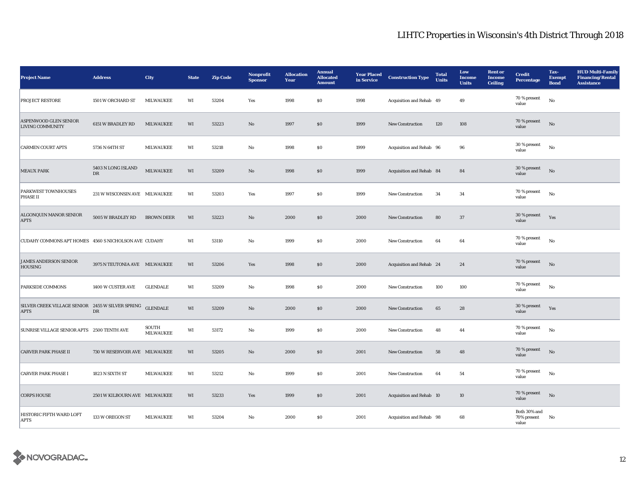| <b>Project Name</b>                                             | <b>Address</b>                    | City                      | <b>State</b> | <b>Zip Code</b> | Nonprofit<br><b>Sponsor</b> | <b>Allocation</b><br>Year | <b>Annual</b><br><b>Allocated</b><br><b>Amount</b> | <b>Year Placed</b><br>in Service | <b>Construction Type</b> | <b>Total</b><br><b>Units</b> | Low<br><b>Income</b><br><b>Units</b> | <b>Rent or</b><br><b>Income</b><br><b>Ceiling</b> | <b>Credit</b><br><b>Percentage</b>   | Tax-<br><b>Exempt</b><br><b>Bond</b> | <b>HUD Multi-Family</b><br><b>Financing/Rental</b><br><b>Assistance</b> |
|-----------------------------------------------------------------|-----------------------------------|---------------------------|--------------|-----------------|-----------------------------|---------------------------|----------------------------------------------------|----------------------------------|--------------------------|------------------------------|--------------------------------------|---------------------------------------------------|--------------------------------------|--------------------------------------|-------------------------------------------------------------------------|
| <b>PROJECT RESTORE</b>                                          | 1501 W ORCHARD ST                 | MILWAUKEE                 | WI           | 53204           | Yes                         | 1998                      | S <sub>0</sub>                                     | 1998                             | Acquisition and Rehab 49 |                              | 49                                   |                                                   | 70 % present<br>value                | No                                   |                                                                         |
| ASPENWOOD GLEN SENIOR<br>LIVING COMMUNITY                       | 6151 W BRADLEY RD                 | MILWAUKEE                 | WI           | 53223           | $\mathbf{N}\mathbf{o}$      | 1997                      | \$0                                                | 1999                             | <b>New Construction</b>  | 120                          | 108                                  |                                                   | 70 % present<br>value                | $_{\rm No}$                          |                                                                         |
| <b>CARMEN COURT APTS</b>                                        | 5736 N 64TH ST                    | MILWAUKEE                 | WI           | 53218           | No                          | 1998                      | $\$0$                                              | 1999                             | Acquisition and Rehab 96 |                              | 96                                   |                                                   | 30 % present<br>value                | No                                   |                                                                         |
| <b>MEAUX PARK</b>                                               | 5403 N LONG ISLAND<br>$_{\rm DR}$ | MILWAUKEE                 | WI           | 53209           | $\mathbf{No}$               | 1998                      | \$0                                                | 1999                             | Acquisition and Rehab 84 |                              | 84                                   |                                                   | 30 % present<br>value                | $_{\rm No}$                          |                                                                         |
| <b>PARKWEST TOWNHOUSES</b><br><b>PHASE II</b>                   | 231 W WISCONSIN AVE MILWAUKEE     |                           | WI           | 53203           | Yes                         | 1997                      | <b>SO</b>                                          | 1999                             | <b>New Construction</b>  | 34                           | 34                                   |                                                   | 70 % present<br>value                | No                                   |                                                                         |
| ALGONQUIN MANOR SENIOR<br><b>APTS</b>                           | 5005 W BRADLEY RD                 | <b>BROWN DEER</b>         | WI           | 53223           | $\mathbf{N}\mathbf{o}$      | 2000                      | \$0                                                | 2000                             | New Construction         | 80                           | 37                                   |                                                   | 30 % present<br>value                | Yes                                  |                                                                         |
| CUDAHY COMMONS APT HOMES 4560 S NICHOLSON AVE CUDAHY            |                                   |                           | WI           | 53110           | $\mathbf {No}$              | 1999                      | <b>SO</b>                                          | 2000                             | <b>New Construction</b>  | 64                           | 64                                   |                                                   | 70 % present<br>value                | $_{\rm No}$                          |                                                                         |
| <b>JAMES ANDERSON SENIOR</b><br>HOUSING                         | 3975 N TEUTONIA AVE MILWAUKEE     |                           | WI           | 53206           | Yes                         | 1998                      | \$0                                                | 2000                             | Acquisition and Rehab 24 |                              | 24                                   |                                                   | 70 % present<br>value                | $_{\rm No}$                          |                                                                         |
| PARKSIDE COMMONS                                                | 1400 W CUSTER AVE                 | <b>GLENDALE</b>           | WI           | 53209           | No                          | 1998                      | $\$0$                                              | 2000                             | <b>New Construction</b>  | 100                          | 100                                  |                                                   | 70 % present<br>value                | No                                   |                                                                         |
| SILVER CREEK VILLAGE SENIOR 2455 W SILVER SPRING<br><b>APTS</b> | ${\rm DR}$                        | <b>GLENDALE</b>           | WI           | 53209           | $\mathbf{No}$               | 2000                      | $\$0$                                              | 2000                             | New Construction         | 65                           | 28                                   |                                                   | 30 % present<br>value                | Yes                                  |                                                                         |
| SUNRISE VILLAGE SENIOR APTS 2500 TENTH AVE                      |                                   | SOUTH<br><b>MILWAUKEE</b> | WI           | 53172           | $\mathbf{No}$               | 1999                      | $\$0$                                              | 2000                             | New Construction         | 48                           | 44                                   |                                                   | 70 % present<br>value                | $_{\rm No}$                          |                                                                         |
| <b>CARVER PARK PHASE II</b>                                     | 730 W RESERVOIR AVE MILWAUKEE     |                           | WI           | 53205           | $\mathbf{No}$               | 2000                      | \$0                                                | 2001                             | New Construction         | 58                           | 48                                   |                                                   | 70 % present<br>value                | No                                   |                                                                         |
| <b>CARVER PARK PHASE I</b>                                      | 1823 N SIXTH ST                   | MILWAUKEE                 | WI           | 53212           | No                          | 1999                      | <b>SO</b>                                          | 2001                             | New Construction         | 64                           | 54                                   |                                                   | 70 % present<br>value                | $_{\rm No}$                          |                                                                         |
| <b>CORPS HOUSE</b>                                              | 2501 W KILBOURN AVE MILWAUKEE     |                           | WI           | 53233           | Yes                         | 1999                      | \$0                                                | 2001                             | Acquisition and Rehab 10 |                              | 10                                   |                                                   | 70 % present<br>value                | No                                   |                                                                         |
| HISTORIC FIFTH WARD LOFT<br><b>APTS</b>                         | 133 W OREGON ST                   | MILWAUKEE                 | WI           | 53204           | No                          | 2000                      | <b>SO</b>                                          | 2001                             | Acquisition and Rehab 98 |                              | 68                                   |                                                   | Both 30% and<br>70% present<br>value | No                                   |                                                                         |

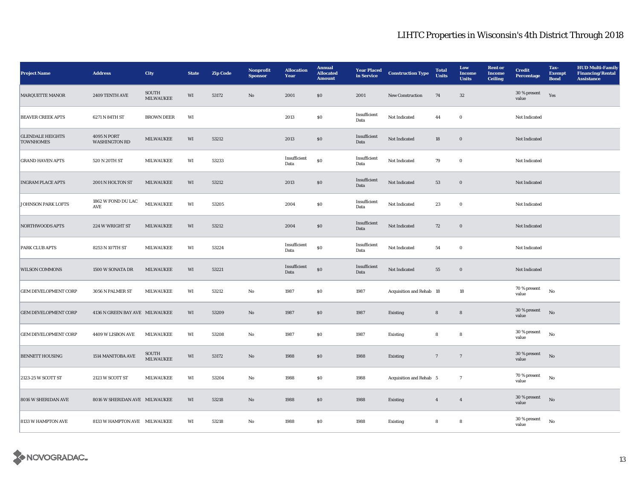| <b>Project Name</b>                         | <b>Address</b>                             | City                             | <b>State</b>           | <b>Zip Code</b> | Nonprofit<br><b>Sponsor</b> | <b>Allocation</b><br>Year | <b>Annual</b><br><b>Allocated</b><br><b>Amount</b> | <b>Year Placed</b><br>in Service | <b>Construction Type</b> | <b>Total</b><br>Units | Low<br><b>Income</b><br><b>Units</b> | <b>Rent or</b><br><b>Income</b><br><b>Ceiling</b> | <b>Credit</b><br>Percentage | Tax-<br><b>Exempt</b><br><b>Bond</b> | <b>HUD Multi-Family</b><br><b>Financing/Rental</b><br><b>Assistance</b> |
|---------------------------------------------|--------------------------------------------|----------------------------------|------------------------|-----------------|-----------------------------|---------------------------|----------------------------------------------------|----------------------------------|--------------------------|-----------------------|--------------------------------------|---------------------------------------------------|-----------------------------|--------------------------------------|-------------------------------------------------------------------------|
| MARQUETTE MANOR                             | 2409 TENTH AVE                             | SOUTH<br><b>MILWAUKEE</b>        | $\mathbf{W}\mathbf{I}$ | 53172           | No                          | 2001                      | \$0                                                | 2001                             | New Construction         | 74                    | 32                                   |                                                   | 30 % present<br>value       | Yes                                  |                                                                         |
| <b>BEAVER CREEK APTS</b>                    | 6271 N 84TH ST                             | <b>BROWN DEER</b>                | WI                     |                 |                             | 2013                      | $\$0$                                              | Insufficient<br>Data             | Not Indicated            | 44                    | $\mathbf 0$                          |                                                   | Not Indicated               |                                      |                                                                         |
| <b>GLENDALE HEIGHTS</b><br><b>TOWNHOMES</b> | <b>4095 N PORT</b><br><b>WASHINGTON RD</b> | MILWAUKEE                        | WI                     | 53212           |                             | 2013                      | \$0                                                | Insufficient<br>Data             | Not Indicated            | 18                    | $\boldsymbol{0}$                     |                                                   | Not Indicated               |                                      |                                                                         |
| <b>GRAND HAVEN APTS</b>                     | 520 N 20TH ST                              | <b>MILWAUKEE</b>                 | WI                     | 53233           |                             | Insufficient<br>Data      | ${\bf S0}$                                         | Insufficient<br>Data             | Not Indicated            | 79                    | $\bf{0}$                             |                                                   | Not Indicated               |                                      |                                                                         |
| <b>INGRAM PLACE APTS</b>                    | 2001 N HOLTON ST                           | MILWAUKEE                        | WI                     | 53212           |                             | 2013                      | $\$0$                                              | Insufficient<br>Data             | Not Indicated            | 53                    | $\boldsymbol{0}$                     |                                                   | Not Indicated               |                                      |                                                                         |
| <b>JOHNSON PARK LOFTS</b>                   | 1862 W FOND DU LAC<br>AVE                  | <b>MILWAUKEE</b>                 | WI                     | 53205           |                             | 2004                      | $\$0$                                              | Insufficient<br>Data             | Not Indicated            | 23                    | $\bf{0}$                             |                                                   | Not Indicated               |                                      |                                                                         |
| <b>NORTHWOODS APTS</b>                      | 224 W WRIGHT ST                            | MILWAUKEE                        | WI                     | 53212           |                             | 2004                      | $\$0$                                              | Insufficient<br>Data             | Not Indicated            | 72                    | $\boldsymbol{0}$                     |                                                   | Not Indicated               |                                      |                                                                         |
| PARK CLUB APTS                              | 8253 N 107TH ST                            | <b>MILWAUKEE</b>                 | WI                     | 53224           |                             | Insufficient<br>Data      | ${\bf S0}$                                         | Insufficient<br>Data             | Not Indicated            | 54                    | $\mathbf 0$                          |                                                   | Not Indicated               |                                      |                                                                         |
| <b>WILSON COMMONS</b>                       | 1500 W SONATA DR                           | MILWAUKEE                        | WI                     | 53221           |                             | Insufficient<br>Data      | $\$0$                                              | Insufficient<br>Data             | Not Indicated            | 55                    | $\bf{0}$                             |                                                   | Not Indicated               |                                      |                                                                         |
| <b>GEM DEVELOPMENT CORP</b>                 | 3056 N PALMER ST                           | MILWAUKEE                        | WI                     | 53212           | No                          | 1987                      | $\$0$                                              | 1987                             | Acquisition and Rehab 18 |                       | 18                                   |                                                   | $70$ % present<br>value     | No                                   |                                                                         |
| <b>GEM DEVELOPMENT CORP</b>                 | 4136 N GREEN BAY AVE MILWAUKEE             |                                  | WI                     | 53209           | $\mathbf{N}\mathbf{o}$      | 1987                      | $\$0$                                              | 1987                             | <b>Existing</b>          | $\bf8$                | $\bf8$                               |                                                   | 30 % present<br>value       | No                                   |                                                                         |
| <b>GEM DEVELOPMENT CORP</b>                 | 4409 W LISBON AVE                          | <b>MILWAUKEE</b>                 | WI                     | 53208           | No                          | 1987                      | S <sub>0</sub>                                     | 1987                             | <b>Existing</b>          | 8                     | 8                                    |                                                   | 30 % present<br>value       | No                                   |                                                                         |
| <b>BENNETT HOUSING</b>                      | 1514 MANITOBA AVE                          | <b>SOUTH</b><br><b>MILWAUKEE</b> | WI                     | 53172           | $\mathbf{N}\mathbf{o}$      | 1988                      | $\$0$                                              | 1988                             | Existing                 | $7\phantom{.0}$       | $\scriptstyle\rm 7$                  |                                                   | 30 % present<br>value       | $_{\rm No}$                          |                                                                         |
| 2123-25 W SCOTT ST                          | 2123 W SCOTT ST                            | MILWAUKEE                        | WI                     | 53204           | No                          | 1988                      | <b>SO</b>                                          | 1988                             | Acquisition and Rehab 5  |                       | $7\phantom{.0}$                      |                                                   | 70 % present<br>value       | No                                   |                                                                         |
| 8016 W SHERIDAN AVE                         | 8016 W SHERIDAN AVE MILWAUKEE              |                                  | WI                     | 53218           | No                          | 1988                      | \$0                                                | 1988                             | Existing                 | $\overline{4}$        | $\overline{4}$                       |                                                   | 30 % present<br>value       | No                                   |                                                                         |
| 8133 W HAMPTON AVE                          | 8133 W HAMPTON AVE MILWAUKEE               |                                  | WI                     | 53218           | No                          | 1988                      | $\$0$                                              | 1988                             | <b>Existing</b>          | 8                     | 8                                    |                                                   | 30 % present<br>value       | $_{\rm No}$                          |                                                                         |